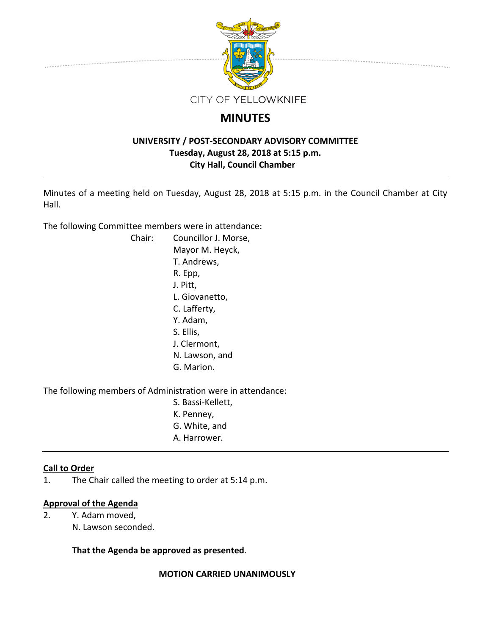

# **MINUTES**

# **UNIVERSITY / POST‐SECONDARY ADVISORY COMMITTEE Tuesday, August 28, 2018 at 5:15 p.m. City Hall, Council Chamber**

Minutes of a meeting held on Tuesday, August 28, 2018 at 5:15 p.m. in the Council Chamber at City Hall.

The following Committee members were in attendance:

| Chair: | Councillor J. Morse, |
|--------|----------------------|
|        | Mayor M. Heyck,      |
|        | T. Andrews,          |
|        | R. Epp,              |
|        | J. Pitt,             |
|        | L. Giovanetto,       |
|        | C. Lafferty,         |
|        | Y. Adam,             |
|        | S. Ellis,            |
|        | J. Clermont,         |
|        | N. Lawson, and       |
|        | G. Marion.           |
|        |                      |
|        |                      |

The following members of Administration were in attendance:

- S. Bassi‐Kellett,
- K. Penney,
- G. White, and
- A. Harrower.

# **Call to Order**

1. The Chair called the meeting to order at 5:14 p.m.

# **Approval of the Agenda**

2. Y. Adam moved, N. Lawson seconded.

# **That the Agenda be approved as presented**.

**MOTION CARRIED UNANIMOUSLY**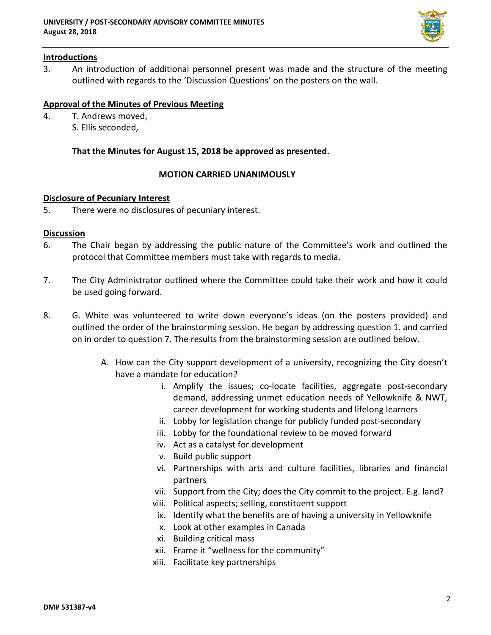

## **Introductions**

3. An introduction of additional personnel present was made and the structure of the meeting outlined with regards to the 'Discussion Questions' on the posters on the wall.

## **Approval of the Minutes of Previous Meeting**

4. T. Andrews moved, S. Ellis seconded,

## **That the Minutes for August 15, 2018 be approved as presented.**

#### **MOTION CARRIED UNANIMOUSLY**

#### **Disclosure of Pecuniary Interest**

5. There were no disclosures of pecuniary interest.

#### **Discussion**

- 6. The Chair began by addressing the public nature of the Committee's work and outlined the protocol that Committee members must take with regards to media.
- 7. The City Administrator outlined where the Committee could take their work and how it could be used going forward.
- 8. G. White was volunteered to write down everyone's ideas (on the posters provided) and outlined the order of the brainstorming session. He began by addressing question 1. and carried on in order to question 7. The results from the brainstorming session are outlined below.
	- A. How can the City support development of a university, recognizing the City doesn't have a mandate for education?
		- i. Amplify the issues; co-locate facilities, aggregate post-secondary demand, addressing unmet education needs of Yellowknife & NWT, career development for working students and lifelong learners
		- ii. Lobby for legislation change for publicly funded post-secondary
		- iii. Lobby for the foundational review to be moved forward
		- iv. Act as a catalyst for development
		- v. Build public support
		- vi. Partnerships with arts and culture facilities, libraries and financial partners
		- vii. Support from the City; does the City commit to the project. E.g. land?
		- viii. Political aspects; selling, constituent support
		- ix. Identify what the benefits are of having a university in Yellowknife
		- x. Look at other examples in Canada
		- xi. Building critical mass
		- xii. Frame it "wellness for the community"
		- xiii. Facilitate key partnerships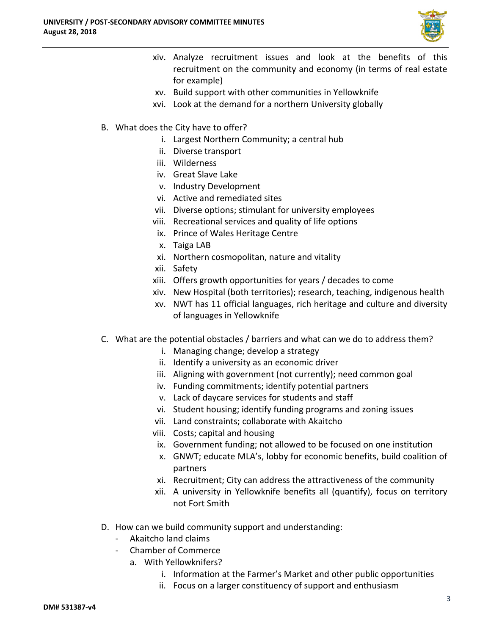

- xiv. Analyze recruitment issues and look at the benefits of this recruitment on the community and economy (in terms of real estate for example)
- xv. Build support with other communities in Yellowknife
- xvi. Look at the demand for a northern University globally
- B. What does the City have to offer?
	- i. Largest Northern Community; a central hub
	- ii. Diverse transport
	- iii. Wilderness
	- iv. Great Slave Lake
	- v. Industry Development
	- vi. Active and remediated sites
	- vii. Diverse options; stimulant for university employees
	- viii. Recreational services and quality of life options
	- ix. Prince of Wales Heritage Centre
	- x. Taiga LAB
	- xi. Northern cosmopolitan, nature and vitality
	- xii. Safety
	- xiii. Offers growth opportunities for years / decades to come
	- xiv. New Hospital (both territories); research, teaching, indigenous health
	- xv. NWT has 11 official languages, rich heritage and culture and diversity of languages in Yellowknife
- C. What are the potential obstacles / barriers and what can we do to address them?
	- i. Managing change; develop a strategy
	- ii. Identify a university as an economic driver
	- iii. Aligning with government (not currently); need common goal
	- iv. Funding commitments; identify potential partners
	- v. Lack of daycare services for students and staff
	- vi. Student housing; identify funding programs and zoning issues
	- vii. Land constraints; collaborate with Akaitcho
	- viii. Costs; capital and housing
	- ix. Government funding; not allowed to be focused on one institution
	- x. GNWT; educate MLA's, lobby for economic benefits, build coalition of partners
	- xi. Recruitment; City can address the attractiveness of the community
	- xii. A university in Yellowknife benefits all (quantify), focus on territory not Fort Smith
- D. How can we build community support and understanding:
	- ‐ Akaitcho land claims
	- ‐ Chamber of Commerce
		- a. With Yellowknifers?
			- i. Information at the Farmer's Market and other public opportunities
			- ii. Focus on a larger constituency of support and enthusiasm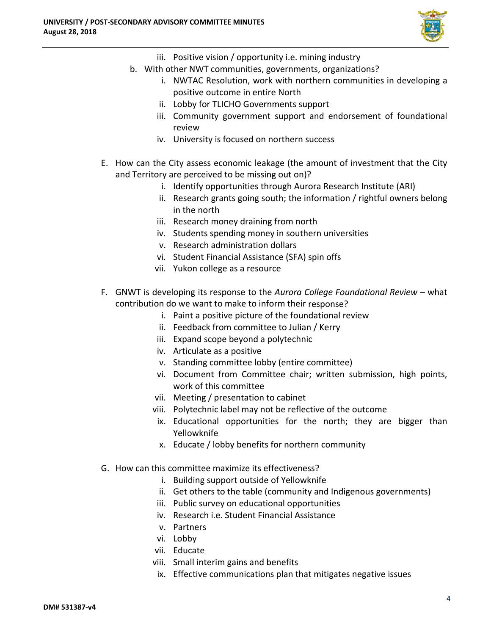

- iii. Positive vision / opportunity i.e. mining industry
- b. With other NWT communities, governments, organizations?
	- i. NWTAC Resolution, work with northern communities in developing a positive outcome in entire North
	- ii. Lobby for TLICHO Governments support
	- iii. Community government support and endorsement of foundational review
	- iv. University is focused on northern success
- E. How can the City assess economic leakage (the amount of investment that the City and Territory are perceived to be missing out on)?
	- i. Identify opportunities through Aurora Research Institute (ARI)
	- ii. Research grants going south; the information / rightful owners belong in the north
	- iii. Research money draining from north
	- iv. Students spending money in southern universities
	- v. Research administration dollars
	- vi. Student Financial Assistance (SFA) spin offs
	- vii. Yukon college as a resource
- F. GNWT is developing its response to the *Aurora College Foundational Review* what contribution do we want to make to inform their response?
	- i. Paint a positive picture of the foundational review
	- ii. Feedback from committee to Julian / Kerry
	- iii. Expand scope beyond a polytechnic
	- iv. Articulate as a positive
	- v. Standing committee lobby (entire committee)
	- vi. Document from Committee chair; written submission, high points, work of this committee
	- vii. Meeting / presentation to cabinet
	- viii. Polytechnic label may not be reflective of the outcome
	- ix. Educational opportunities for the north; they are bigger than Yellowknife
	- x. Educate / lobby benefits for northern community
- G. How can this committee maximize its effectiveness?
	- i. Building support outside of Yellowknife
	- ii. Get others to the table (community and Indigenous governments)
	- iii. Public survey on educational opportunities
	- iv. Research i.e. Student Financial Assistance
	- v. Partners
	- vi. Lobby
	- vii. Educate
	- viii. Small interim gains and benefits
	- ix. Effective communications plan that mitigates negative issues